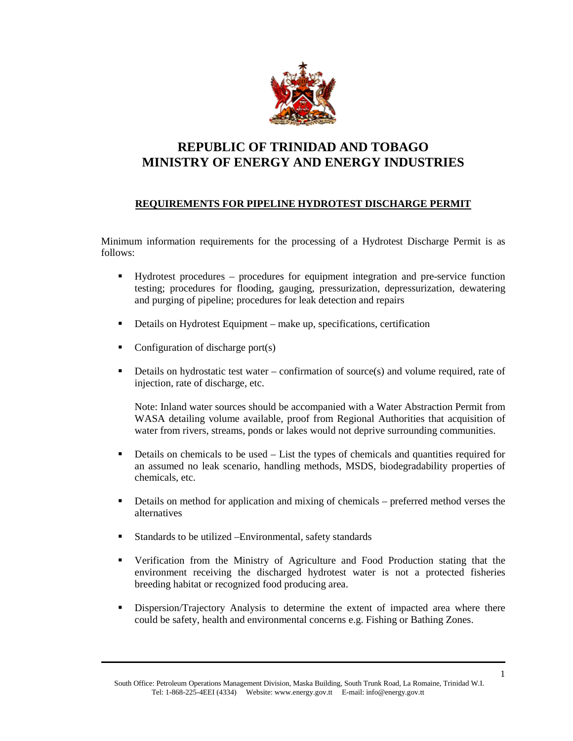

## **REPUBLIC OF TRINIDAD AND TOBAGO MINISTRY OF ENERGY AND ENERGY INDUSTRIES**

## **REQUIREMENTS FOR PIPELINE HYDROTEST DISCHARGE PERMIT**

Minimum information requirements for the processing of a Hydrotest Discharge Permit is as follows:

- Hydrotest procedures procedures for equipment integration and pre-service function testing; procedures for flooding, gauging, pressurization, depressurization, dewatering and purging of pipeline; procedures for leak detection and repairs
- Details on Hydrotest Equipment make up, specifications, certification
- Configuration of discharge port(s)
- $\blacksquare$  Details on hydrostatic test water confirmation of source(s) and volume required, rate of injection, rate of discharge, etc.

Note: Inland water sources should be accompanied with a Water Abstraction Permit from WASA detailing volume available, proof from Regional Authorities that acquisition of water from rivers, streams, ponds or lakes would not deprive surrounding communities.

- Details on chemicals to be used List the types of chemicals and quantities required for an assumed no leak scenario, handling methods, MSDS, biodegradability properties of chemicals, etc.
- Details on method for application and mixing of chemicals preferred method verses the alternatives
- Standards to be utilized –Environmental, safety standards
- Verification from the Ministry of Agriculture and Food Production stating that the environment receiving the discharged hydrotest water is not a protected fisheries breeding habitat or recognized food producing area.
- Dispersion/Trajectory Analysis to determine the extent of impacted area where there could be safety, health and environmental concerns e.g. Fishing or Bathing Zones.

South Office: Petroleum Operations Management Division, Maska Building, South Trunk Road, La Romaine, Trinidad W.I. Tel: 1-868-225-4EEI (4334) Website: www.energy.gov.tt E-mail: info@energy.gov.tt